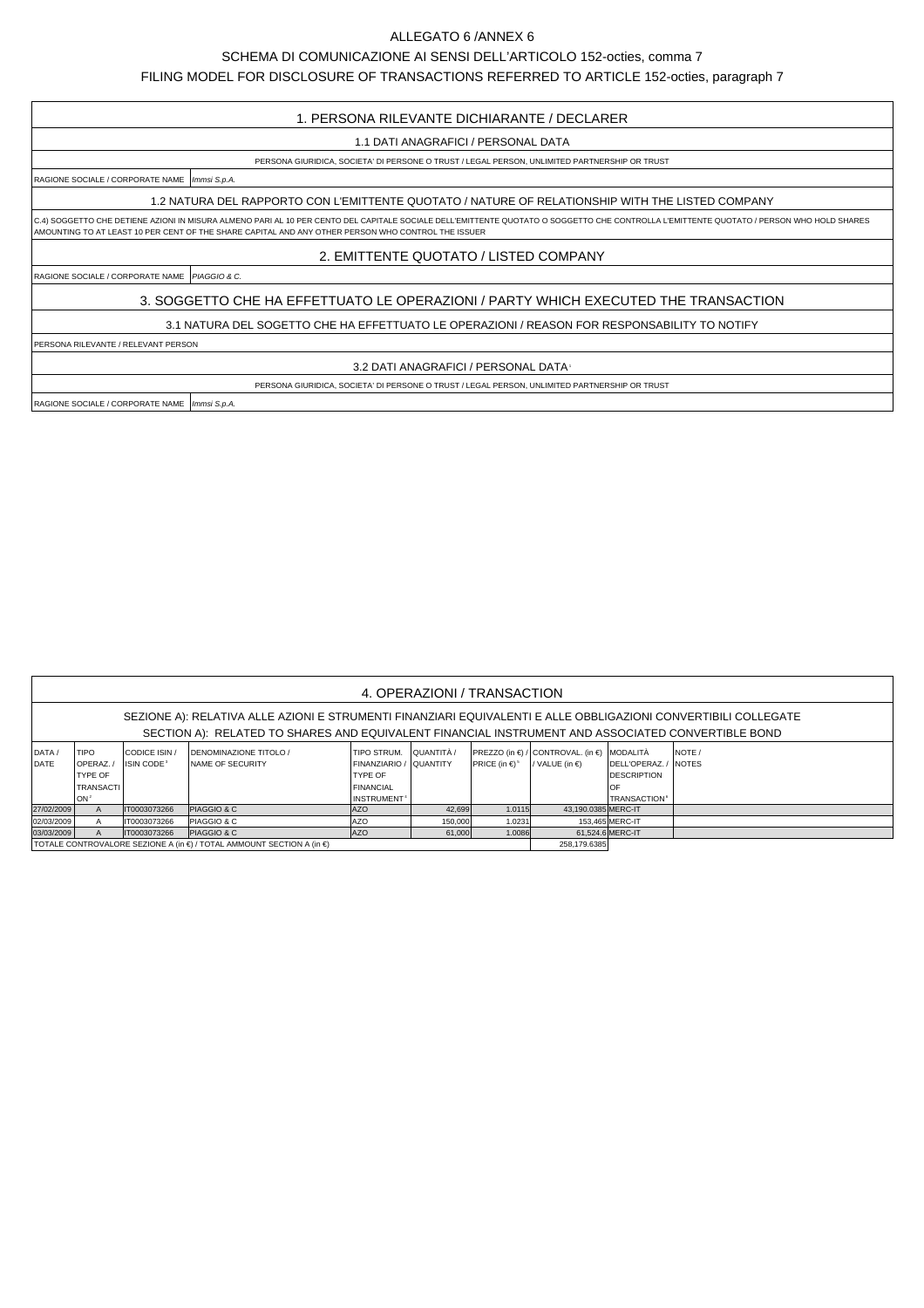## ALLEGATO 6 /ANNEX 6

## SCHEMA DI COMUNICAZIONE AI SENSI DELL'ARTICOLO 152-octies, comma 7

FILING MODEL FOR DISCLOSURE OF TRANSACTIONS REFERRED TO ARTICLE 152-octies, paragraph 7

## 1. PERSONA RILEVANTE DICHIARANTE / DECLARER

1.1 DATI ANAGRAFICI / PERSONAL DATA

## PERSONA GIURIDICA, SOCIETA' DI PERSONE O TRUST / LEGAL PERSON, UNLIMITED PARTNERSHIP OR TRUST

RAGIONE SOCIALE / CORPORATE NAME | Immsi S.p.A.

1.2 NATURA DEL RAPPORTO CON L'EMITTENTE QUOTATO / NATURE OF RELATIONSHIP WITH THE LISTED COMPANY

C.4) SOGGETTO CHE DETIENE AZIONI IN MISURA ALMENO PARI AL 10 PER CENTO DEL CAPITALE SOCIALE DELL'EMITTENTE QUOTATO O SOGGETTO CHE CONTROLLA L'EMITTENTE QUOTATO / PERSON WHO HOLD SHARES AMOUNTING TO AT LEAST 10 PER CENT OF THE SHARE CAPITAL AND ANY OTHER PERSON WHO CONTROL THE ISSUER

2. EMITTENTE QUOTATO / LISTED COMPANY

RAGIONE SOCIALE / CORPORATE NAME | PIAGGIO & C.

3. SOGGETTO CHE HA EFFETTUATO LE OPERAZIONI / PARTY WHICH EXECUTED THE TRANSACTION

3.1 NATURA DEL SOGETTO CHE HA EFFETTUATO LE OPERAZIONI / REASON FOR RESPONSABILITY TO NOTIFY

PERSONA RILEVANTE / RELEVANT PERSON

3.2 DATI ANAGRAFICI / PERSONAL DATA1

PERSONA GIURIDICA, SOCIETA' DI PERSONE O TRUST / LEGAL PERSON, UNLIMITED PARTNERSHIP OR TRUST

RAGIONE SOCIALE / CORPORATE NAME | Immsi S.p.A.

| 4. OPERAZIONI / TRANSACTION                                                                                                                                                                                         |                  |                        |                                                                         |                               |            |                                |                                            |                                |              |  |  |  |
|---------------------------------------------------------------------------------------------------------------------------------------------------------------------------------------------------------------------|------------------|------------------------|-------------------------------------------------------------------------|-------------------------------|------------|--------------------------------|--------------------------------------------|--------------------------------|--------------|--|--|--|
| SEZIONE A): RELATIVA ALLE AZIONI E STRUMENTI FINANZIARI EQUIVALENTI E ALLE OBBLIGAZIONI CONVERTIBILI COLLEGATE<br>SECTION A): RELATED TO SHARES AND EQUIVALENT FINANCIAL INSTRUMENT AND ASSOCIATED CONVERTIBLE BOND |                  |                        |                                                                         |                               |            |                                |                                            |                                |              |  |  |  |
| DATA/                                                                                                                                                                                                               | <b>TIPO</b>      | CODICE ISIN /          | <b>DENOMINAZIONE TITOLO /</b>                                           | TIPO STRUM.                   | QUANTITÀ / |                                | PREZZO (in €) / CONTROVAL. (in €) MODALITÀ |                                | NOTE /       |  |  |  |
| DATE                                                                                                                                                                                                                | OPERAZ./         | ISIN CODE <sup>3</sup> | <b>NAME OF SECURITY</b>                                                 | <b>FINANZIARIO / QUANTITY</b> |            | PRICE (in $\in$ ) <sup>5</sup> | / VALUE (in $\epsilon$ )                   | DELL'OPERAZ.                   | <b>NOTES</b> |  |  |  |
|                                                                                                                                                                                                                     | <b>TYPE OF</b>   |                        |                                                                         | TYPE OF                       |            |                                |                                            | <b>DESCRIPTION</b>             |              |  |  |  |
|                                                                                                                                                                                                                     | <b>TRANSACTI</b> |                        |                                                                         | FINANCIAL                     |            |                                |                                            | OF                             |              |  |  |  |
|                                                                                                                                                                                                                     | lon <sup>2</sup> |                        |                                                                         | INSTRUMENT <sup>4</sup>       |            |                                |                                            | <b>TRANSACTION<sup>6</sup></b> |              |  |  |  |
| 27/02/2009                                                                                                                                                                                                          | A                | IT0003073266           | <b>PIAGGIO &amp; C</b>                                                  | AZO                           | 42,699     | 1.0115                         | 43,190.0385 MERC-IT                        |                                |              |  |  |  |
| 02/03/2009                                                                                                                                                                                                          | A                | T0003073266            | <b>PIAGGIO &amp; C</b>                                                  | <b>JAZO</b>                   | 150,000    | 1.0231                         |                                            | 153.465 MERC-IT                |              |  |  |  |
| 03/03/2009                                                                                                                                                                                                          | A                | IT0003073266           | <b>PIAGGIO &amp; C</b>                                                  | <b>JAZO</b>                   | 61,000     | 1.0086                         |                                            | 61.524.6 MERC-IT               |              |  |  |  |
|                                                                                                                                                                                                                     |                  |                        | İ TOTALE CONTROVALORE SEZIONE A (in €) / TOTAL AMMOUNT SECTION A (in €) | 258.179.6385                  |            |                                |                                            |                                |              |  |  |  |